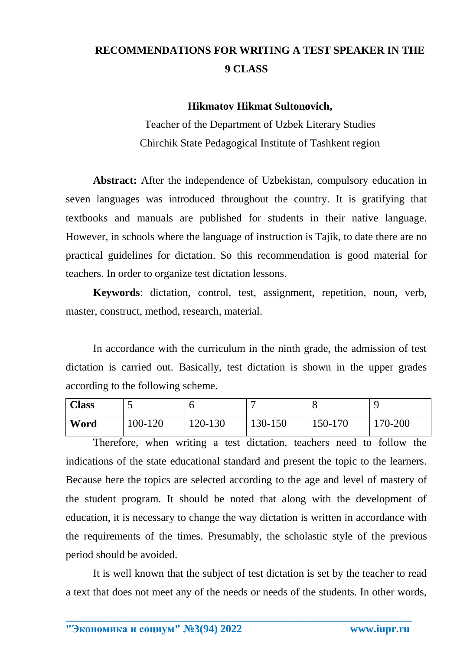## **RECOMMENDATIONS FOR WRITING A TEST SPEAKER IN THE 9 CLASS**

## **Hikmatov Hikmat Sultonovich,**

Teacher of the Department of Uzbek Literary Studies Chirchik State Pedagogical Institute of Tashkent region

**Abstract:** After the independence of Uzbekistan, compulsory education in seven languages was introduced throughout the country. It is gratifying that textbooks and manuals are published for students in their native language. However, in schools where the language of instruction is Tajik, to date there are no practical guidelines for dictation. So this recommendation is good material for teachers. In order to organize test dictation lessons.

**Keywords**: dictation, control, test, assignment, repetition, noun, verb, master, construct, method, research, material.

In accordance with the curriculum in the ninth grade, the admission of test dictation is carried out. Basically, test dictation is shown in the upper grades according to the following scheme.

| <b>Class</b> | ັ       |         |         |         |         |
|--------------|---------|---------|---------|---------|---------|
| Word         | 100-120 | 120-130 | 130-150 | 150-170 | 170-200 |

Therefore, when writing a test dictation, teachers need to follow the indications of the state educational standard and present the topic to the learners. Because here the topics are selected according to the age and level of mastery of the student program. It should be noted that along with the development of education, it is necessary to change the way dictation is written in accordance with the requirements of the times. Presumably, the scholastic style of the previous period should be avoided.

It is well known that the subject of test dictation is set by the teacher to read a text that does not meet any of the needs or needs of the students. In other words,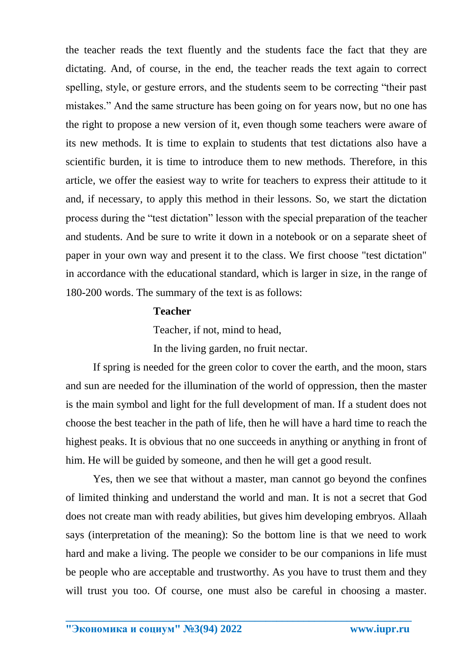the teacher reads the text fluently and the students face the fact that they are dictating. And, of course, in the end, the teacher reads the text again to correct spelling, style, or gesture errors, and the students seem to be correcting "their past mistakes." And the same structure has been going on for years now, but no one has the right to propose a new version of it, even though some teachers were aware of its new methods. It is time to explain to students that test dictations also have a scientific burden, it is time to introduce them to new methods. Therefore, in this article, we offer the easiest way to write for teachers to express their attitude to it and, if necessary, to apply this method in their lessons. So, we start the dictation process during the "test dictation" lesson with the special preparation of the teacher and students. And be sure to write it down in a notebook or on a separate sheet of paper in your own way and present it to the class. We first choose "test dictation" in accordance with the educational standard, which is larger in size, in the range of 180-200 words. The summary of the text is as follows:

## **Teacher**

Teacher, if not, mind to head,

In the living garden, no fruit nectar.

If spring is needed for the green color to cover the earth, and the moon, stars and sun are needed for the illumination of the world of oppression, then the master is the main symbol and light for the full development of man. If a student does not choose the best teacher in the path of life, then he will have a hard time to reach the highest peaks. It is obvious that no one succeeds in anything or anything in front of him. He will be guided by someone, and then he will get a good result.

Yes, then we see that without a master, man cannot go beyond the confines of limited thinking and understand the world and man. It is not a secret that God does not create man with ready abilities, but gives him developing embryos. Allaah says (interpretation of the meaning): So the bottom line is that we need to work hard and make a living. The people we consider to be our companions in life must be people who are acceptable and trustworthy. As you have to trust them and they will trust you too. Of course, one must also be careful in choosing a master.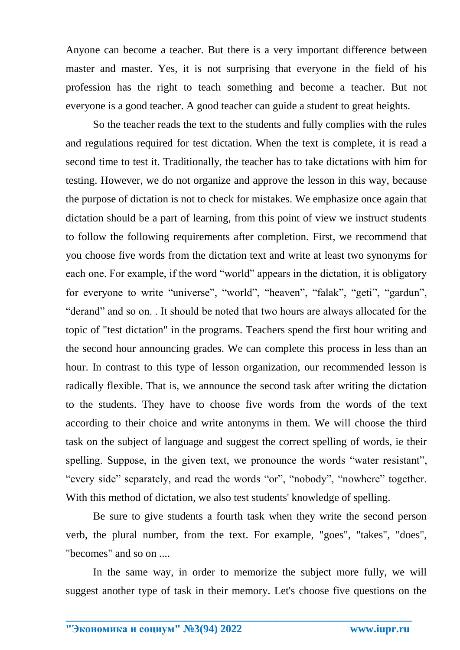Anyone can become a teacher. But there is a very important difference between master and master. Yes, it is not surprising that everyone in the field of his profession has the right to teach something and become a teacher. But not everyone is a good teacher. A good teacher can guide a student to great heights.

So the teacher reads the text to the students and fully complies with the rules and regulations required for test dictation. When the text is complete, it is read a second time to test it. Traditionally, the teacher has to take dictations with him for testing. However, we do not organize and approve the lesson in this way, because the purpose of dictation is not to check for mistakes. We emphasize once again that dictation should be a part of learning, from this point of view we instruct students to follow the following requirements after completion. First, we recommend that you choose five words from the dictation text and write at least two synonyms for each one. For example, if the word "world" appears in the dictation, it is obligatory for everyone to write "universe", "world", "heaven", "falak", "geti", "gardun", "derand" and so on. . It should be noted that two hours are always allocated for the topic of "test dictation" in the programs. Teachers spend the first hour writing and the second hour announcing grades. We can complete this process in less than an hour. In contrast to this type of lesson organization, our recommended lesson is radically flexible. That is, we announce the second task after writing the dictation to the students. They have to choose five words from the words of the text according to their choice and write antonyms in them. We will choose the third task on the subject of language and suggest the correct spelling of words, ie their spelling. Suppose, in the given text, we pronounce the words "water resistant", "every side" separately, and read the words "or", "nobody", "nowhere" together. With this method of dictation, we also test students' knowledge of spelling.

Be sure to give students a fourth task when they write the second person verb, the plural number, from the text. For example, "goes", "takes", "does", "becomes" and so on ....

In the same way, in order to memorize the subject more fully, we will suggest another type of task in their memory. Let's choose five questions on the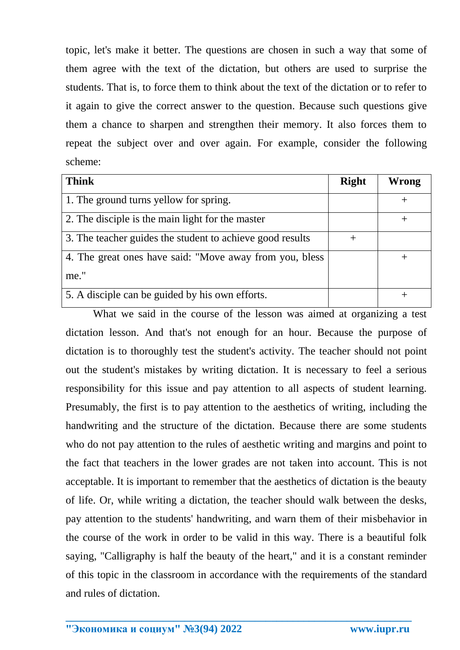topic, let's make it better. The questions are chosen in such a way that some of them agree with the text of the dictation, but others are used to surprise the students. That is, to force them to think about the text of the dictation or to refer to it again to give the correct answer to the question. Because such questions give them a chance to sharpen and strengthen their memory. It also forces them to repeat the subject over and over again. For example, consider the following scheme:

| <b>Think</b>                                              | <b>Right</b> | <b>Wrong</b> |
|-----------------------------------------------------------|--------------|--------------|
| 1. The ground turns yellow for spring.                    |              |              |
| 2. The disciple is the main light for the master          |              |              |
| 3. The teacher guides the student to achieve good results | $^{+}$       |              |
| 4. The great ones have said: "Move away from you, bless   |              |              |
| me."                                                      |              |              |
| 5. A disciple can be guided by his own efforts.           |              |              |

What we said in the course of the lesson was aimed at organizing a test dictation lesson. And that's not enough for an hour. Because the purpose of dictation is to thoroughly test the student's activity. The teacher should not point out the student's mistakes by writing dictation. It is necessary to feel a serious responsibility for this issue and pay attention to all aspects of student learning. Presumably, the first is to pay attention to the aesthetics of writing, including the handwriting and the structure of the dictation. Because there are some students who do not pay attention to the rules of aesthetic writing and margins and point to the fact that teachers in the lower grades are not taken into account. This is not acceptable. It is important to remember that the aesthetics of dictation is the beauty of life. Or, while writing a dictation, the teacher should walk between the desks, pay attention to the students' handwriting, and warn them of their misbehavior in the course of the work in order to be valid in this way. There is a beautiful folk saying, "Calligraphy is half the beauty of the heart," and it is a constant reminder of this topic in the classroom in accordance with the requirements of the standard and rules of dictation.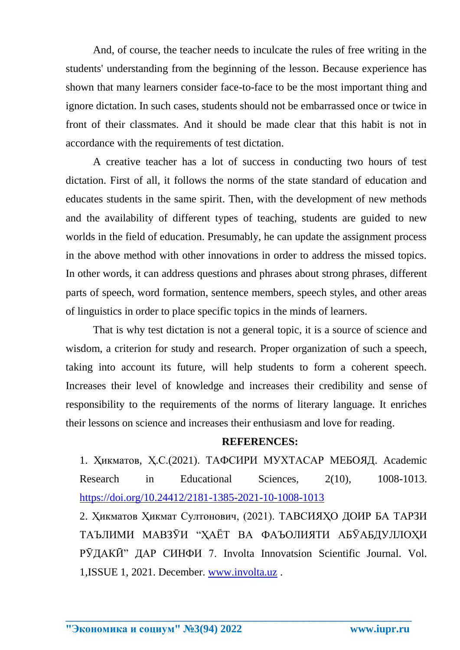And, of course, the teacher needs to inculcate the rules of free writing in the students' understanding from the beginning of the lesson. Because experience has shown that many learners consider face-to-face to be the most important thing and ignore dictation. In such cases, students should not be embarrassed once or twice in front of their classmates. And it should be made clear that this habit is not in accordance with the requirements of test dictation.

A creative teacher has a lot of success in conducting two hours of test dictation. First of all, it follows the norms of the state standard of education and educates students in the same spirit. Then, with the development of new methods and the availability of different types of teaching, students are guided to new worlds in the field of education. Presumably, he can update the assignment process in the above method with other innovations in order to address the missed topics. In other words, it can address questions and phrases about strong phrases, different parts of speech, word formation, sentence members, speech styles, and other areas of linguistics in order to place specific topics in the minds of learners.

That is why test dictation is not a general topic, it is a source of science and wisdom, a criterion for study and research. Proper organization of such a speech, taking into account its future, will help students to form a coherent speech. Increases their level of knowledge and increases their credibility and sense of responsibility to the requirements of the norms of literary language. It enriches their lessons on science and increases their enthusiasm and love for reading.

## **REFERENCES:**

1. Ҳикматов, Ҳ.С.(2021). ТАФСИРИ МУХТАСАР МЕБОЯД. Academic Research in Educational Sciences, 2(10), 1008-1013. <https://doi.org/10.24412/2181-1385-2021-10-1008-1013>

2. Ҳикматов Ҳикмат Султонович, (2021). ТАВСИЯҲО ДОИР БА ТАРЗИ ТАЪЛИМИ МАВЗӮИ "ҲАЁТ ВА ФАЪОЛИЯТИ АБӮАБДУЛЛОҲИ РӮДАКӢ" ДАР СИНФИ 7. Involta Innovatsion Scientific Journal. Vol. 1,ISSUE 1, 2021. December. [www.involta.uz](http://www.involta.uz/) .